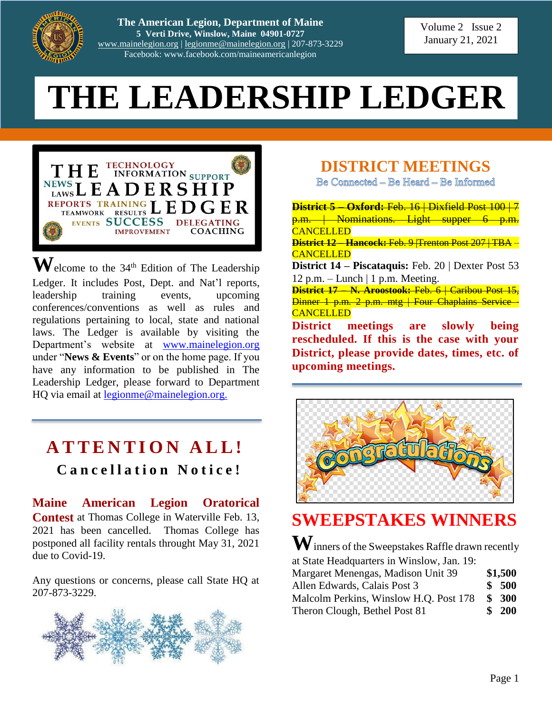

**The American Legion, Department of Maine 5 Verti Drive, Winslow, Maine 04901-0727** [www.mainelegion.org](http://www.mainelegion.org/) | [legionme@mainelegion.org](mailto:legionme@mainelegion.org) | 207-873-3229 Facebook: www.facebook.com/maineamericanlegion

Volume 2 Issue 2 January 21, 2021

# **THE LEADERSHIP LEDGER**



 $\mathbf{W}$ elcome to the 34<sup>th</sup> Edition of The Leadership Ledger. It includes Post, Dept. and Nat'l reports, leadership training events, upcoming conferences/conventions as well as rules and regulations pertaining to local, state and national laws. The Ledger is available by visiting the Department's website at [www.mainelegion.org](http://www.mainelegion.org/) under "**News & Events**" or on the home page. If you have any information to be published in The Leadership Ledger, please forward to Department HQ via email at [legionme@mainelegion.org.](mailto:legionme@mainelegion.org)

# **A T T E N T I O N A L L ! C a n c e l l a t i o n N o t i c e !**

**Maine American Legion Oratorical Contest** at Thomas College in Waterville Feb. 13, 2021 has been cancelled. Thomas College has postponed all facility rentals throught May 31, 2021 due to Covid-19.

Any questions or concerns, please call State HQ at 207-873-3229.



**DISTRICT MEETINGS**

Be Connected - Be Heard - Be Informed

**District 5 – Oxford:** Feb. 16 | Dixfield Post 100 | 7 p.m. | Nominations. Light supper 6 **CANCELLED District 12 – Hancock:** Feb. 9 |Trenton Post 207 | TBA – **CANCELLED District 14 – Piscataquis:** Feb. 20 | Dexter Post 53 12 p.m. – Lunch  $\vert$  1 p.m. Meeting. **District 17 – N. Aroostook:** Feb. 6 | Caribou Post 15, Dinner 1 p.m. 2 p.m. mtg | Four Chaplains Service **CANCELLED District meetings are slowly being rescheduled. If this is the case with your District, please provide dates, times, etc. of upcoming meetings.**



# **SWEEPSTAKES WINNERS**

**W**inners of the Sweepstakes Raffle drawn recently at State Headquarters in Winslow, Jan. 19:

| Margaret Menengas, Madison Unit 39     | \$1,500 |
|----------------------------------------|---------|
| Allen Edwards, Calais Post 3           | \$500   |
| Malcolm Perkins, Winslow H.Q. Post 178 | \$300   |
| Theron Clough, Bethel Post 81          | \$200   |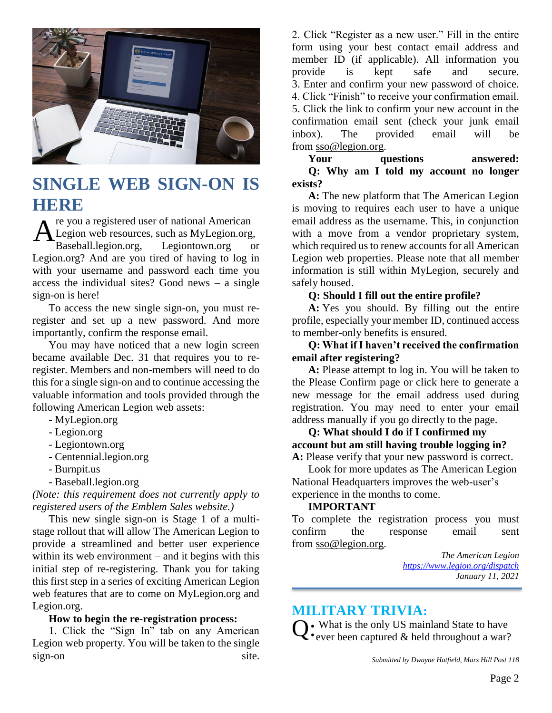

# **SINGLE WEB SIGN-ON IS HERE**

re you a registered user of national American Legion web resources, such as MyLegion.org, Baseball.legion.org, Legiontown.org or Legion.org? And are you tired of having to log in with your username and password each time you access the individual sites? Good news – a single sign-on is here! A

To access the new single sign-on, you must reregister and set up a new password. And more importantly, confirm the response email.

You may have noticed that a new login screen became available Dec. 31 that requires you to reregister. Members and non-members will need to do this for a single sign-on and to continue accessing the valuable information and tools provided through the following American Legion web assets:

- MyLegion.org
- Legion.org
- Legiontown.org
- Centennial.legion.org
- Burnpit.us
- Baseball.legion.org

*(Note: this requirement does not currently apply to registered users of the Emblem Sales website.)*

This new single sign-on is Stage 1 of a multistage rollout that will allow The American Legion to provide a streamlined and better user experience within its web environment – and it begins with this initial step of re-registering. Thank you for taking this first step in a series of exciting American Legion web features that are to come on MyLegion.org and Legion.org.

#### **How to begin the re-registration process:**

1. Click the "Sign In" tab on any American Legion web property. You will be taken to the single sign-on site. 2. Click "Register as a new user." Fill in the entire form using your best contact email address and member ID (if applicable). All information you provide is kept safe and secure. 3. Enter and confirm your new password of choice. 4. Click "Finish" to receive your confirmation email. 5. Click the link to confirm your new account in the confirmation email sent (check your junk email inbox). The provided email will be from [sso@legion.org.](mailto:sso@legion.org)

**Your questions answered: Q: Why am I told my account no longer exists?**

**A:** The new platform that The American Legion is moving to requires each user to have a unique email address as the username. This, in conjunction with a move from a vendor proprietary system, which required us to renew accounts for all American Legion web properties. Please note that all member information is still within MyLegion, securely and safely housed.

#### **Q: Should I fill out the entire profile?**

**A:** Yes you should. By filling out the entire profile, especially your member ID, continued access to member-only benefits is ensured.

#### **Q: What if I haven't received the confirmation email after registering?**

**A:** Please attempt to log in. You will be taken to the Please Confirm page or click here to generate a new message for the email address used during registration. You may need to enter your email address manually if you go directly to the page.

#### **Q: What should I do if I confirmed my account but am still having trouble logging in? A:** Please verify that your new password is correct.

Look for more updates as The American Legion National Headquarters improves the web-user's experience in the months to come.

#### **IMPORTANT**

To complete the registration process you must confirm the response email sent from [sso@legion.org.](mailto:sso@legion.org)

> *The American Legion <https://www.legion.org/dispatch> January 11, 2021*

### **MILITARY TRIVIA:**

 $Q$ : What is the only US mainland State to have<br>  $\mathbf{Q}$ : ever been captured & held throughout a war?  $\zeta$  • ever been captured  $\&$  held throughout a war?

*Submitted by Dwayne Hatfield, Mars Hill Post 118*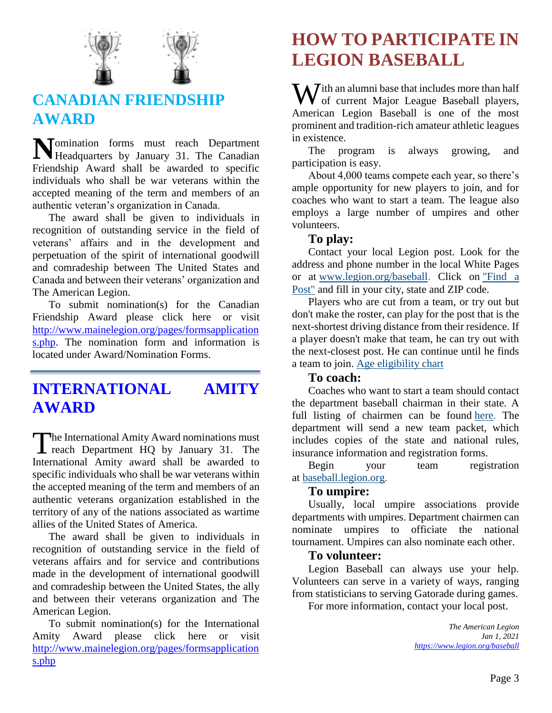

# **CANADIAN FRIENDSHIP AWARD**

omination forms must reach Department Momination forms must reach Department<br>Headquarters by January 31. The Canadian Friendship Award shall be awarded to specific individuals who shall be war veterans within the accepted meaning of the term and members of an authentic veteran's organization in Canada.

The award shall be given to individuals in recognition of outstanding service in the field of veterans' affairs and in the development and perpetuation of the spirit of international goodwill and comradeship between The United States and Canada and between their veterans' organization and The American Legion.

To submit nomination(s) for the Canadian Friendship Award please click here or visit [http://www.mainelegion.org/pages/formsapplication](http://www.mainelegion.org/pages/formsapplications.php) [s.php.](http://www.mainelegion.org/pages/formsapplications.php) The nomination form and information is located under Award/Nomination Forms.

## **INTERNATIONAL AMITY AWARD**

he International Amity Award nominations must The International Amity Award nominations must<br>reach Department HQ by January 31. The International Amity award shall be awarded to specific individuals who shall be war veterans within the accepted meaning of the term and members of an authentic veterans organization established in the territory of any of the nations associated as wartime allies of the United States of America.

The award shall be given to individuals in recognition of outstanding service in the field of veterans affairs and for service and contributions made in the development of international goodwill and comradeship between the United States, the ally and between their veterans organization and The American Legion.

To submit nomination(s) for the International Amity Award please click here or visit [http://www.mainelegion.org/pages/formsapplication](http://www.mainelegion.org/pages/formsapplications.php) [s.php](http://www.mainelegion.org/pages/formsapplications.php)

# **HOW TO PARTICIPATE IN LEGION BASEBALL**

With an alumni base that includes more than half<br>of current Major League Baseball players, of current Major League Baseball players, American Legion Baseball is one of the most prominent and tradition-rich amateur athletic leagues in existence.

The program is always growing, and participation is easy.

About 4,000 teams compete each year, so there's ample opportunity for new players to join, and for coaches who want to start a team. The league also employs a large number of umpires and other volunteers.

### **To play:**

Contact your local Legion post. Look for the address and phone number in the local White Pages or at [www.legion.org/baseball.](http://www.legion.org/baseball) Click on ["Find a](https://www.legion.org/posts)  [Post"](https://www.legion.org/posts) and fill in your city, state and ZIP code.

Players who are cut from a team, or try out but don't make the roster, can play for the post that is the next-shortest driving distance from their residence. If a player doesn't make that team, he can try out with the next-closest post. He can continue until he finds a team to join. [Age eligibility chart](https://www.legion.org/documents/legion/baseball/baseball_age_chart.pdf)

### **To coach:**

Coaches who want to start a team should contact the department baseball chairman in their state. A full listing of chairmen can be found [here.](https://www.legion.org/baseball/contacts) The department will send a new team packet, which includes copies of the state and national rules, insurance information and registration forms.

Begin your team registration at [baseball.legion.org.](http://baseball.legion.org/)

### **To umpire:**

Usually, local umpire associations provide departments with umpires. Department chairmen can nominate umpires to officiate the national tournament. Umpires can also nominate each other.

### **To volunteer:**

Legion Baseball can always use your help. Volunteers can serve in a variety of ways, ranging from statisticians to serving Gatorade during games.

For more information, contact your local post.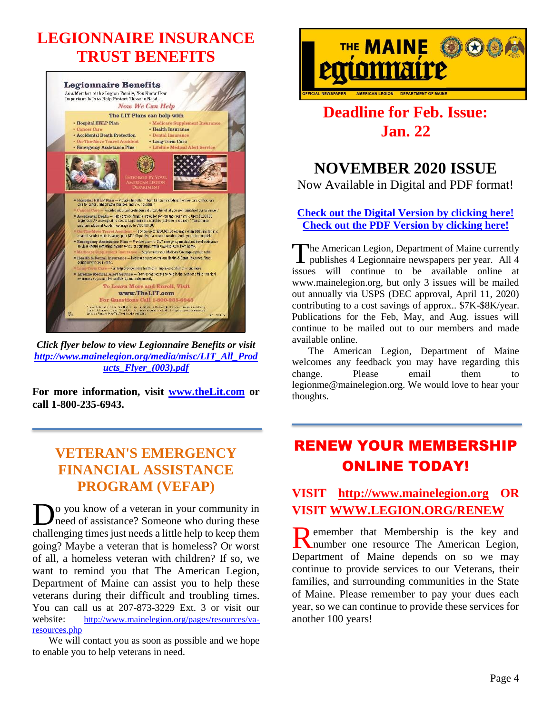# **LEGIONNAIRE INSURANCE TRUST BENEFITS**



*Click flyer below to view Legionnaire Benefits or visit [http://www.mainelegion.org/media/misc/LIT\\_All\\_Prod](http://www.mainelegion.org/media/misc/LIT_All_Products_Flyer_(003).pdf) [ucts\\_Flyer\\_\(003\).pdf](http://www.mainelegion.org/media/misc/LIT_All_Products_Flyer_(003).pdf)*

**For more information, visit [www.theLit.com](http://www.thelit.com/) or call 1-800-235-6943.** 

## **VETERAN'S EMERGENCY FINANCIAL ASSISTANCE PROGRAM (VEFAP)**

**D**<sup>o</sup> you know of a veteran in your community in need of assistance? Someone who during these need of assistance? Someone who during these challenging times just needs a little help to keep them going? Maybe a veteran that is homeless? Or worst of all, a homeless veteran with children? If so, we want to remind you that The American Legion, Department of Maine can assist you to help these veterans during their difficult and troubling times. You can call us at 207-873-3229 Ext. 3 or visit our website: http://www.mainelegion.org/pages/resources/varesources.php

We will contact you as soon as possible and we hope to enable you to help veterans in need.



# **Deadline for Feb. Issue: Jan. 22**

## **NOVEMBER 2020 ISSUE**

Now Available in Digital and PDF format!

### **[Check out the Digital Version by clicking here!](https://indd.adobe.com/view/d1b0b7e1-a7a7-4395-a152-a8504d8cb39a) [Check out the PDF Version](http://www.mainelegion.org/media/TML/TML_2020_November_Issue.pdf) by clicking here!**

The American Legion, Department of Maine currently The American Legion, Department of Maine currently<br>publishes 4 Legionnaire newspapers per year. All 4 issues will continue to be available online at www.mainelegion.org, but only 3 issues will be mailed out annually via USPS (DEC approval, April 11, 2020) contributing to a cost savings of approx.. \$7K-\$8K/year. Publications for the Feb, May, and Aug. issues will continue to be mailed out to our members and made available online.

The American Legion, Department of Maine welcomes any feedback you may have regarding this change. Please email them to legionme@mainelegion.org. We would love to hear your thoughts.

# RENEW YOUR MEMBERSHIP ONLINE TODAY!

### **VISIT [http://www.mainelegion.org](http://www.mainelegion.org/) OR VISIT [WWW.LEGION.ORG/RENEW](http://www.legion.org/RENEW)**

**D** emember that Membership is the key and Remember that Membership is the key and number one resource The American Legion, Department of Maine depends on so we may continue to provide services to our Veterans, their families, and surrounding communities in the State of Maine. Please remember to pay your dues each year, so we can continue to provide these services for another 100 years!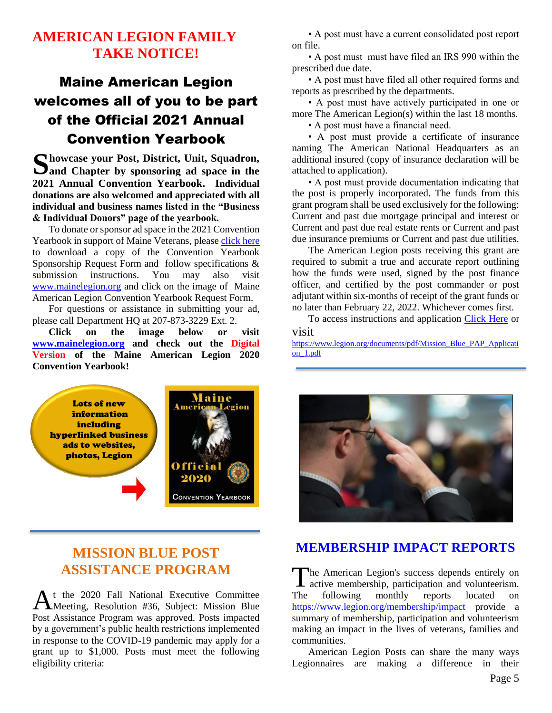### **AMERICAN LEGION FAMILY TAKE NOTICE!**

# Maine American Legion welcomes all of you to be part of the Official 2021 Annual Convention Yearbook

Showcase your Post, District, Unit, Squadron, Sand Chapter by sponsoring ad space in the **and Chapter by sponsoring ad space in the 2021 Annual Convention Yearbook. Individual donations are also welcomed and appreciated with all individual and business names listed in the "Business & Individual Donors" page of the yearbook.** 

To donate or sponsor ad space in the 2021 Convention Yearbook in support of Maine Veterans, please [click here](http://www.mainelegion.org/media/YEARBOOK/Maine_AL_Convention_Yearbook_Sponsorship_Req._Form11_FILLABLE.pdf) to download a copy of the Convention Yearbook Sponsorship Request Form and follow specifications & submission instructions. You may also visit [www.mainelegion.org](http://www.mainelegion.org/) and click on the image of Maine American Legion Convention Yearbook Request Form.

For questions or assistance in submitting your ad, please call Department HQ at 207-873-3229 Ext. 2.

**Click on the image below or visit [www.mainelegion.org](http://www.mainelegion.org/) and check out the Digital Version of the Maine American Legion 2020 Convention Yearbook!**

• A post must have a current consolidated post report on file.

• A post must must have filed an IRS 990 within the prescribed due date.

• A post must have filed all other required forms and reports as prescribed by the departments.

• A post must have actively participated in one or more The American Legion(s) within the last 18 months. • A post must have a financial need.

• A post must provide a certificate of insurance naming The American National Headquarters as an additional insured (copy of insurance declaration will be attached to application).

• A post must provide documentation indicating that the post is properly incorporated. The funds from this grant program shall be used exclusively for the following: Current and past due mortgage principal and interest or Current and past due real estate rents or Current and past due insurance premiums or Current and past due utilities.

The American Legion posts receiving this grant are required to submit a true and accurate report outlining how the funds were used, signed by the post finance officer, and certified by the post commander or post adjutant within six-months of receipt of the grant funds or no later than February 22, 2022. Whichever comes first.

To access instructions and application [Click Here](https://www.legion.org/documents/pdf/Mission_Blue_PAP_Application_1.pdf) or

visit

[https://www.legion.org/documents/pdf/Mission\\_Blue\\_PAP\\_Applicati](https://www.legion.org/documents/pdf/Mission_Blue_PAP_Application_1.pdf) [on\\_1.pdf](https://www.legion.org/documents/pdf/Mission_Blue_PAP_Application_1.pdf)



### **MISSION BLUE POST ASSISTANCE PROGRAM**

t the 2020 Fall National Executive Committee At the 2020 Fall National Executive Committee<br>Meeting, Resolution #36, Subject: Mission Blue Post Assistance Program was approved. Posts impacted by a government's public health restrictions implemented in response to the COVID-19 pandemic may apply for a grant up to \$1,000. Posts must meet the following eligibility criteria:



### **[MEMBERSHIP IMPACT REPORTS](https://www.legion.org/membership/impact)**

he American Legion's success depends entirely on The American Legion's success depends entirely on active membership, participation and volunteerism. The following monthly reports located on <https://www.legion.org/membership/impact> provide a summary of membership, participation and volunteerism making an impact in the lives of veterans, families and communities.

American Legion Posts can share the many ways Legionnaires are making a difference in their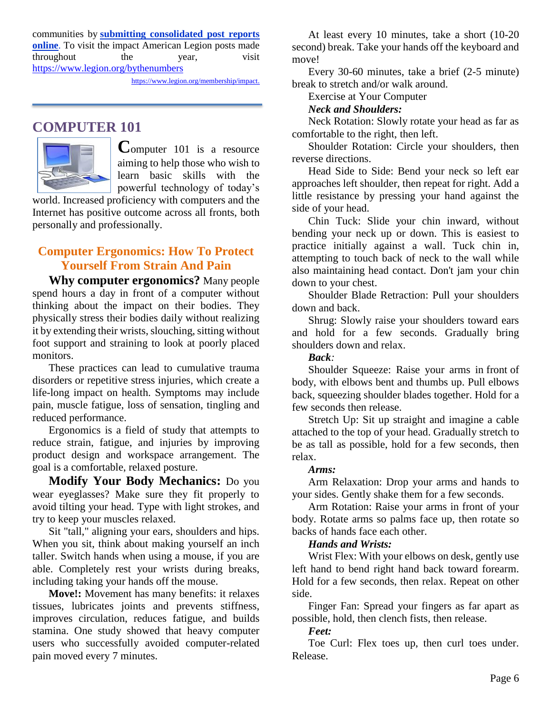communities by **[submitting consolidated post reports](http://www.mylegion.org/)  [online](http://www.mylegion.org/)**. To visit the impact American Legion posts made throughout the year, visit <https://www.legion.org/bythenumbers>

[https://www.legion.org/membership/impact.](https://www.legion.org/membership/impact)

### **COMPUTER 101**



**C**omputer 101 is a resource aiming to help those who wish to learn basic skills with the powerful technology of today's

world. Increased proficiency with computers and the Internet has positive outcome across all fronts, both personally and professionally.

### **Computer Ergonomics: How To Protect Yourself From Strain And Pain**

**Why computer ergonomics?** Many people spend hours a day in front of a computer without thinking about the impact on their bodies. They physically stress their bodies daily without realizing it by extending their wrists, slouching, sitting without foot support and straining to look at poorly placed monitors.

These practices can lead to cumulative trauma disorders or repetitive stress injuries, which create a life-long impact on health. Symptoms may include pain, muscle fatigue, loss of sensation, tingling and reduced performance.

Ergonomics is a field of study that attempts to reduce strain, fatigue, and injuries by improving product design and workspace arrangement. The goal is a comfortable, relaxed posture.

**Modify Your Body Mechanics:** Do you wear eyeglasses? Make sure they fit properly to avoid tilting your head. Type with light strokes, and try to keep your muscles relaxed.

Sit "tall," aligning your ears, shoulders and hips. When you sit, think about making yourself an inch taller. Switch hands when using a mouse, if you are able. Completely rest your wrists during breaks, including taking your hands off the mouse.

**Move!:** Movement has many benefits: it relaxes tissues, lubricates joints and prevents stiffness, improves circulation, reduces fatigue, and builds stamina. One study showed that heavy computer users who successfully avoided computer-related pain moved every 7 minutes.

At least every 10 minutes, take a short (10-20 second) break. Take your hands off the keyboard and move!

Every 30-60 minutes, take a brief (2-5 minute) break to stretch and/or walk around.

Exercise at Your Computer

#### *Neck and Shoulders:*

Neck Rotation: Slowly rotate your head as far as comfortable to the right, then left.

Shoulder Rotation: Circle your shoulders, then reverse directions.

Head Side to Side: Bend your neck so left ear approaches left shoulder, then repeat for right. Add a little resistance by pressing your hand against the side of your head.

Chin Tuck: Slide your chin inward, without bending your neck up or down. This is easiest to practice initially against a wall. Tuck chin in, attempting to touch back of neck to the wall while also maintaining head contact. Don't jam your chin down to your chest.

Shoulder Blade Retraction: Pull your shoulders down and back.

Shrug: Slowly raise your shoulders toward ears and hold for a few seconds. Gradually bring shoulders down and relax.

#### *Back:*

Shoulder Squeeze: Raise your arms in front of body, with elbows bent and thumbs up. Pull elbows back, squeezing shoulder blades together. Hold for a few seconds then release.

Stretch Up: Sit up straight and imagine a cable attached to the top of your head. Gradually stretch to be as tall as possible, hold for a few seconds, then relax.

#### *Arms:*

Arm Relaxation: Drop your arms and hands to your sides. Gently shake them for a few seconds.

Arm Rotation: Raise your arms in front of your body. Rotate arms so palms face up, then rotate so backs of hands face each other.

#### *Hands and Wrists:*

Wrist Flex: With your elbows on desk, gently use left hand to bend right hand back toward forearm. Hold for a few seconds, then relax. Repeat on other side.

Finger Fan: Spread your fingers as far apart as possible, hold, then clench fists, then release.

#### *Feet:*

Toe Curl: Flex toes up, then curl toes under. Release.